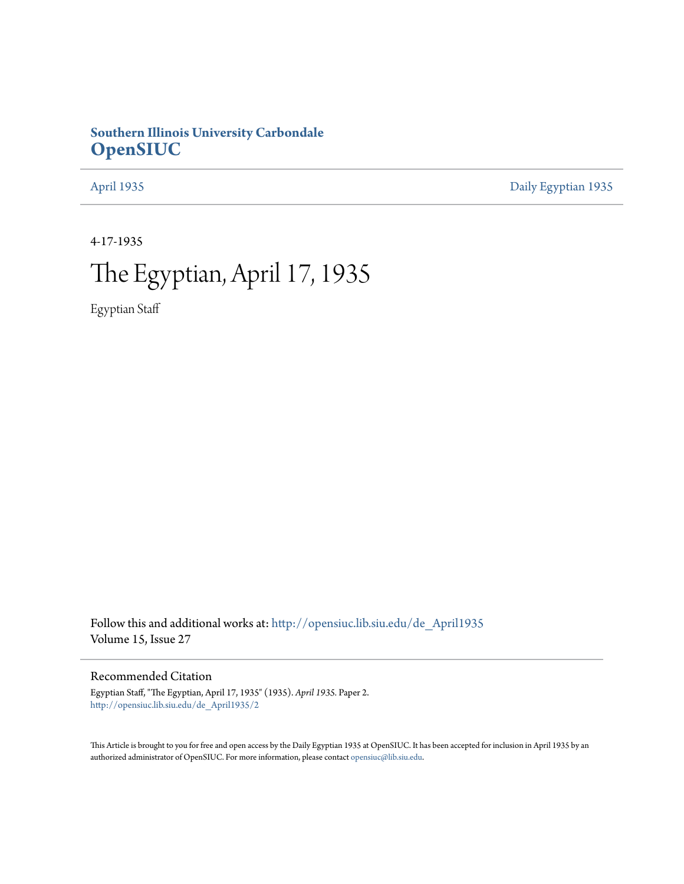# **Southern Illinois University Carbondale [OpenSIUC](http://opensiuc.lib.siu.edu?utm_source=opensiuc.lib.siu.edu%2Fde_April1935%2F2&utm_medium=PDF&utm_campaign=PDFCoverPages)**

[April 1935](http://opensiuc.lib.siu.edu/de_April1935?utm_source=opensiuc.lib.siu.edu%2Fde_April1935%2F2&utm_medium=PDF&utm_campaign=PDFCoverPages) [Daily Egyptian 1935](http://opensiuc.lib.siu.edu/de_1935?utm_source=opensiuc.lib.siu.edu%2Fde_April1935%2F2&utm_medium=PDF&utm_campaign=PDFCoverPages)

4-17-1935

# The Egyptian, April 17, 1935

Egyptian Staff

Follow this and additional works at: [http://opensiuc.lib.siu.edu/de\\_April1935](http://opensiuc.lib.siu.edu/de_April1935?utm_source=opensiuc.lib.siu.edu%2Fde_April1935%2F2&utm_medium=PDF&utm_campaign=PDFCoverPages) Volume 15, Issue 27

Recommended Citation

Egyptian Staff, "The Egyptian, April 17, 1935" (1935). *April 1935.* Paper 2. [http://opensiuc.lib.siu.edu/de\\_April1935/2](http://opensiuc.lib.siu.edu/de_April1935/2?utm_source=opensiuc.lib.siu.edu%2Fde_April1935%2F2&utm_medium=PDF&utm_campaign=PDFCoverPages)

This Article is brought to you for free and open access by the Daily Egyptian 1935 at OpenSIUC. It has been accepted for inclusion in April 1935 by an authorized administrator of OpenSIUC. For more information, please contact [opensiuc@lib.siu.edu](mailto:opensiuc@lib.siu.edu).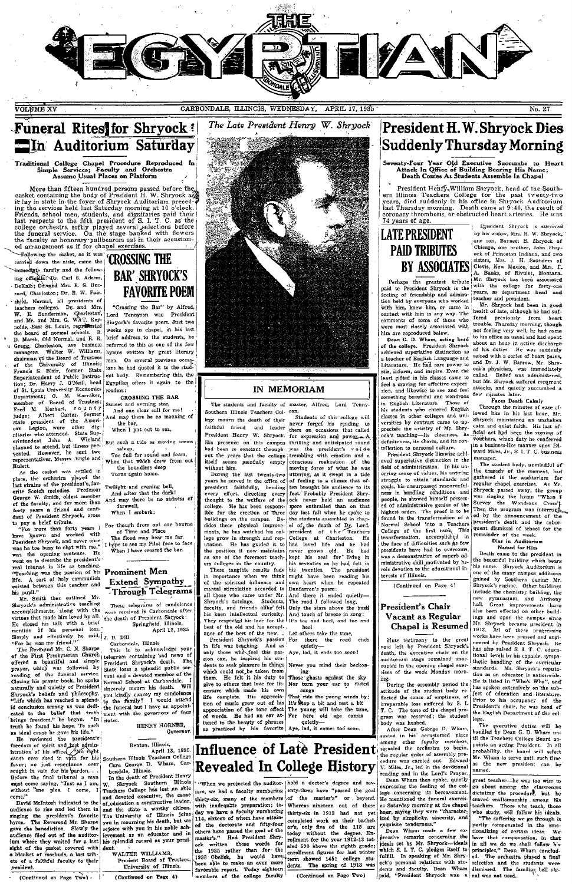

APRIL 17, 1985 CARBONDALE, ILLINCIS, WEDNESDAY.

Funeral Rites for Shryock! **The Auditorium Saturday** 

Traditional College Chapel Procedure Reproduced In<br>
Simple Services; Faculty and Orchestra<br>
Assume Usual Places on Platform

More than fifteen hundred persons passed before the<br>casket containing the body of President H. W. Shryock as<br>a risk play in state in the foyer of Shryock Addition preced-<br> $\vec{P}$  in g in state in the foyer of Shryock Audit

ed arrangement as if for chapsl exercises.<br>
Following the calculation and the care of CROSSING THE<br>
carried down the aisle, came the CROSSING THE<br>
immediate family and the follow-<br>
ing officials: Pr. Carl S. Adams, DeKalb; Dr. and Mrs. R. G. Buzzard, Charleston; Dr. R. W. Fairzard, Charleston; Dr. R. W. Fair-<br>
chid, Normal, all presidents of W. B. Schidt, Normal, all presidents of W.<br>
2. Sunderman, Garleston, Analysis and Mrs.<br>
and Mr. and Mrs. G. WAT. Reynolds, East St. Louis, represident the of the University of Ullions;<br>
Francis G. Blair, former State<br>
Superintendent of Public Instruc-<br>
tion; Dr. Harry J. O'Neill, head<br>
of St. Louis University Economics<br>
Department; O. M. Karraker,<br>
member of Board of Tustese member of Board of Trustees;<br>Fred M. Herbert, c C y n t y judge; Albert Carter, former state president of the American<br>can Legion, were other digresional priority of the American interaction<br>except extended. State Superint

rented. However, he sent two<br>representatives, Mess Engle and implementatives, Mess and Figure and Figure and Figure . As the excels<br>to make the orchestra played the last strains of the presidents favor<br>of George W. Smith, existed<br>his pupil."<br>Mr. Sn

existed between this teacher and his pupil."<br>
Throw his pupil."<br>
Throw his pupil."<br>
Throw is a pupil."<br>
Throw is a simulated by the the set of the set of the set of the set of<br>
interest the set of the set of the set of th 

A where they waited for a last sight of the casket covered with<br>a blanket of rosebuds, a last tribute of a faithful faculty to their<br>president.

(Continued on Page Two)

# **BAR' SHRYOCK'S FAVORITE POEM**

"Crossing the Bar" by Alfred, Lord Tennyson was President Shryock's favorite poem. Just two weeks ago in chapel, in his last brief address to the students, he referred to this as one of the few hymns written by great literary men. On several previous occas-<br>ions he had quoted it to the student body. Remembering this, the Egyptian offers it again to the readers:

CROSSING THE RAR Sunset and evening star,<br>And one clear call for me!<br>And may there be no moaning of

the bar,<br>When I put out to sea,

such a tide as moving seems

asleep,<br>Too full for sound and foam,<br>When that which drew from out<br>the boundless deep

Turns again home. Twilight and evening bell,<br>And after that the dark!<br>And may there be no sadness of farewell.

When I embark:

For though from out our bourne<br>of Time and Place<br>The flood may bear me far,<br>I hope to see my Pilot face to face<br>When I have crossed the bar.

### **Prominent Men Extend Sympathy** Through Telegrams

These telegrams of condolence<br>were received in Carbondale after the death of President Shryock:<br>Springfield, Illinois, April 12, 1935

 $\begin{bmatrix} 1, & D & Di1 \\ \text{Carbonalole}, & \text{llinos} \\ \text{Carbonalole}, & \text{lations} \end{bmatrix}$  this to achieve of the scalar Shrook's death. The scalar shrook's death. The State of the State of the State of the Narral School was a spendid public server of the

Presient Board of Trustees.<br>University of Illinois. (Continued on Page 4)



#### **IN MEMORIAM**

The students and faculty of master, Alfred, Lord Tenny-Southern Illinois Teachers Col- 80n. ...<br>Students of this college will

bega mourn the death of their news forege his reading to lead in the real of their news force is a considerate the processors in the called Filip presence on this campus thrilling and ancience and had been so constant thr lege mourn the death of their

without him.<br>
During the last twenty-two<br>
During the state of president faithfully, bending<br>
president faithfully, bending<br>
president faithfully and the welfare of the<br>
blught to the welfare of the<br>
blught of the exterion

dents to seek pleasure in things Never you mind their beckon-<br>which could not be taken from ing ing<br>exposes against the sky give to others that low for the<br>Theory than the sky give to others that lows for the Nor turn you

Treesom of spirit and just agmin.<br>
Interaction of his office ( $\frac{1}{2}$  Me) Henton, Illinois,<br>
tacractes correction of this strategy of the state of the Southern Illinois Trachers College **Example in the Southern Pressure**  $\frac{1}{100}$  and the declorate and fifty-four (thirty-six in 1933 had not yet ed the declorate and fifty-four completed work on their bachet others have passed the goal of the 10%, only five of the 115 are most of the larg

## **President H.W. Shryock Dies** Suddenly Thursday Morning

enty-Four Year Old Executive Succumbs to Heart<br>Attack In Office of Building Bearing His Name;<br>Death Comes As Students Assemble In Chapel

President Henry, William Shryock, head of the Southern Illinois Teachers College for the past twenty-two<br>years, died suddenly in his office in Shryock Auditorium<br>last Thursday morning. Death came at 9:40, the result of<br>cor

# **LATE PRESIDENT PAID TRIBIITES**

Perhaps the greatest tribute Perhaps the greatest tribute that the state of periodic President Shryock is the feeling of friended<br>hy everyone who worked by the feeling of friended<br>hy and admiration held by everyone who worked with this in same is conn

atmented superinter usual calculation as<br>a teacher of English Language and<br>Literature. He find rare power to<br>their, inform, and inspire. Even the<br>lead girled in his classes came to<br>feel a craving for effective expression, and likewise to see and

something beautiful and wondrous<br>in English Literature. Those of<br>his students who entered English<br>classes in other colleges and universities by contrast came to appreciate the artistry of Mr. Shry-<br>ock's teaching—its clearness, its

ocks' teaching-uis cientres, its<br>definiteness, its charm, and its contribution to personal culture.<br>President Shryock likewise achi-<br>evel superlative distinction in the<br>field of administration. In his unfield of administration. In his un-<br>erring sense of values, his untiring struggle to attain standards and gruggie to attain standards and<br>goals, his unsurpassed resourceful-<br>ness in handling conditions and<br>people, he showed himself possessed of administrative genius of the highest order. The proof is to be<br>found in the transformation of a found in the transformation or a<br>Normal School into a Teachers<br>College of the first rank, This<br>transformation, accomplished in<br>face of difficulties such as few<br>presidents have had to overcome. was a demonstration of superb adwas a nemonstration of supero ad-<br>ministrative skill motivated by he-<br>roic devotion to the educational in-<br>terests of Illinois.

(Continued on Page 4)

#### President's Chair Vacant as Regular Chapel is Resumed

Mute testimony to the great<br>void left by President Shryock's death, the executive chair on the<br>auditorium stage remained unoccupied in the opening chapel exer-<br>cises of the week Monday morn-

cupse of the week Monday meri-<br>cubes of the week Monday meri-<br>more cubes of the state week Monday meri-<br>more currence to the state of the state of the state of empirical<br>state of the state of empirical in the state of the

Ezesident Shrvack is survived by his widow, Mrs. H. W. Shryock, **EPRESIDENT** by his widow, Mrs. H. W. Shryock, **AID TRIBUTES** one some large and two stress of contract and the Correlation of the contract of the contract of the contract and the property of the contract of the contract o

to ms office as usual and spent<br>about an hour in active discharge<br>of his duties. He was suddenly<br>seized with a series of heart pains,<br>and Dr. J. W. Barrow, Mr. Shrv-<br>ock's physician, was immediately<br>but Mr Shrwook enforced called. Relief was administered,<br>but Mr. Shryock suffered recurrent attacks, and quietly succumbed a

attacks, and quietly succumbed a<br>few minutes later.<br>From Dash Caluly Team Dash Caluly Through the minutes of ease allowed him in his late hour. Mr.<br>Shryock maintained an unshaken calm and quiet faith. His late of<br>ficial a anager.

manager.<br>The student body, unmindful of<br>the tragedy of the moment, had<br>gathered in the auditorium for<br>regular chapel exercises. As Mr.<br>Niryock passed away, the group<br>was singing the tynn "When I<br>Survey, the Wondrous Cross" was singing the tymn "wear I<br>Survey the Wondrous Cross".<br>Then the program was interruging<br>ed by the announcement of the<br>president's death and the subsequent dismissal of school for the<br>remainder of the week.<br>Diss in Audito

### Named for Him

name to the president in<br>the beautiful building which bears<br>his name. Shryock Auditorium is<br>one of the many campus additions one of the many campus additions<br>general or Schemer Australian scheme of the many control product in<br>Shryock's regime. Other buildings the many symmation, and Anthony hall. Creat improvements have also been effected on ot tional levels by his capable, sympa-<br>tated the curicular stated in the curicular standards. Mr. Shryock's reputation<br>as an educator is antiometrical tion as an educator is antiometric<br>ation as an educator is natiometrical. the English Department of the

The executive duties will be<br>handled by Dean G. D. Wham until the Teachers College Board an on one reachers college Board appoints an acting President. In all<br>probability, the board will select<br>Mr. Wham to serve until such time<br>as the new president can be named.

great teacher—he was too wise to go about among the classrooms dictating the procedure. but he headers craved crates the capacity is teachers. Those who teach, those experiences of the state of the state of the state of th is factoring at the chapel teachers. Those who teach the specific state is the state of the state in the state is equilible to the state in the state of the state is presented in the end of the state in the state of the s

president fathirdly, bearding then brought his antiene to its brought his content fathirdly. Bearding every floot, there is a bear response to the content of the content of the content of the content of the spectrum of th

ing<br>Those ghosts against the sky<br>Nor turn your ear to fluted<br>songs<br>That ride the young winds by:<br>It's song a bit and rest a bit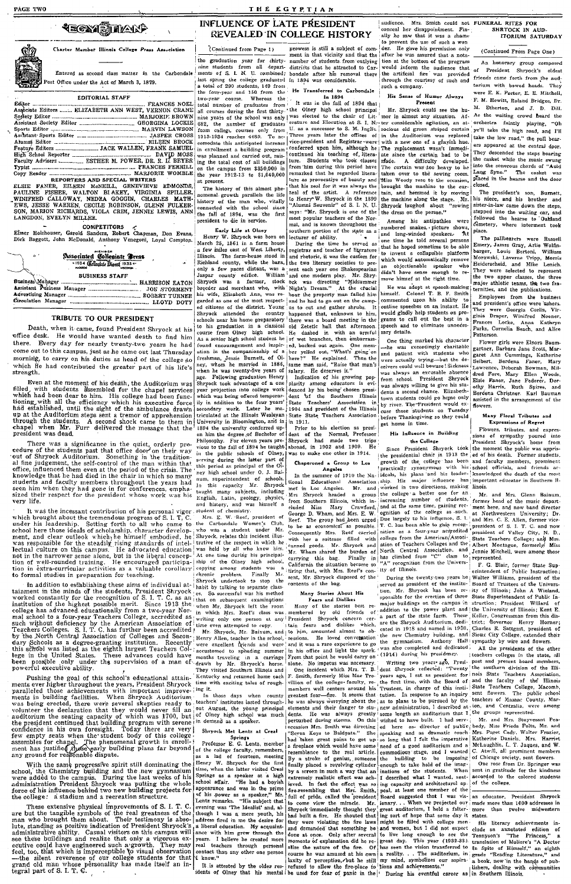**FAGE TWO** 

## *<b>AECAY STAKER*



Entered as second class matter, in the Carbondale Post Office under the Act of March 3, 1879.

Charter Member Illinois College Press Association

#### EDITORIAL STAFF

|             | Associate Editors  ELIZABETH ANN WEST. VERNON CRANE |
|-------------|-----------------------------------------------------|
|             |                                                     |
|             |                                                     |
|             |                                                     |
|             |                                                     |
|             |                                                     |
|             |                                                     |
|             |                                                     |
|             |                                                     |
|             |                                                     |
| Cowy Diadow | MADIODID WAMDLE                                     |

LANGDON, EVELYN MILLER

# 

# Associated Collegiate Treas

#### **BUSINESS STAFF**

#### TRIBUTE TO OUR PRESIDENT

Death, when it came, found President Shryock at his office desk. He would have wanted death to find him there. Every day for nearly twenty-two years he had<br>come out to this campus, just as he came out last Thursday morning, to carry on his duties as head of the college so which He had contributed the greater part of his life's strength.

severally the nonemt of his death, the Auditorium was<br>filled with students assembled for the chapel services<br>which had been dear to him. His college had been func-<br>tioning with all the efficiency which his executive force<br>

These was a significance in the quict, orderly pro-<br>cedure of the students past that office door on their way<br>out of Shryock Auditorium. Something in the tradition-<br>al fine judgement, the self-control of the man within tha

Fig. 11. It is the incessant contribution of his personal vigor<br>with brought about the tremendous propress of S. I. T. C.<br>which brought about the tremendous process of S. I. T. C.<br>school here those ideals of scholarship,

to formal studies in preparation for teaching.<br>
In the controller in Simply Mc. ent, Mr. Shryock dapoed of the<br>
In addition to eschablishing these aims of individual at-1 habit by talking to sparate class contents of the

powerful executive ability.<br>
Pushing the goal of this school's educational attain-<br>
Pushing the goal of this school's educational attain-<br>
ments ever higher throughout the years, President Shryock<br>
paralleld those achieve

THE EGYPTIAN

prowess is still a subject of co

bondale after his removal<br>in 1894 was considerable.

He Transferred to Carbondale

### INFLUENCE OF LATE PRESIDENT **REVEALED IN COLLEGE HISTORY**

(Continued from Page 1) the graduation year for chirty-<br>nine students from all depart-<br>ments of S. L. N. U. combined; ments of S. L. N. U. combined;<br>last spring the college graduated<br>a total of 290 students, 140 from<br>the four-year and 150 from the<br>two-year course. Whereas the

convolute this anticipated increase<br>in envolution and carried out, raising<br>ing the total cost of all buildings<br>on the campus from \$350,000 in<br>the year 1912-13 to \$1,040,000 at present.

The history of this almost ph The momental growth parallels the life<br>history of the man who, vitally<br>connected with the school since<br>the fall of 1894, was the first president to die in service.

#### Early Life at Olney

"Alumni Souvenir" of S. I. N. U.<br>says: "Mr. Shryock is one of the Nam, and is known throughout the<br>cherence of the Nam, and is known throughout the solution point of the<br>state as a lecturer of ability. We allocate the Dur Early Life at User<br>
Every W. Shryock was born on<br>
March 25, 1861 in a farm house<br>
1 few miles east of West Liberty,<br>
illinois. The farm-house stood in<br>
Richland county,<br>
while the barn,<br>
only a few paces distant, was a<br>
J ony a rew paces carsum, was a<br>dispar county edifice. William Shryock was a farmer, stock breeder and merchant who, with<br>his wife, Elizabeth Ann, was regarded as one of the most respect-<br>ed citizens of the district. Young g <sup>1</sup> and one modern play. Mr. Shry-<br>
<sup>1</sup> and one modern play. Mr. Shry-<br>
<sup>1</sup> bock was directing "Midsummer" At the created him<br>
lead to go out on the camplement plane is to count and cappend that, unknown to him,<br>
<sup>1</sup> have schools near his home preparatory schools near his home preparatory in a classical course from Olney high schools. As a senior high schools in<br>density course from Olney high schools of the found encouragement and in<br>spiring atom of the four of the four of same man same, the deserves it."<br>Indication of his growing pop-<br>plarity among educators is evi-<br>denced by his being chosen president of the Southern which was being offered temporardent of the Southern Illinois<br>State Teachers' Association in State Teachers' Association in State State Teachers' Association<br>in 1911.<br>Theory is also dente in State Illinois<br>dent of the Normal, Professor in the Normal, Pr ily in addition to the four years' ity in aduction to the four years<br>secondary work. Later he ma-<br>triculated at the Illinois Wesleyan<br>University in Bloomington, and in ma-

1894 the university conferred up-<br>on him the degree of Bachelor of on nim the eigence of nature of the Philosophy. For eleven years pre-<br>
Fhilosophy. For eleven years pre-<br>
vious to the fall of 1894 be taught shrowing<br>
in the public sohools of Olney, was<br>
serving during the latter part of ney mga sehou under 0. J. Bal-<br>num, superintendent of schools.<br>In this capacity Mr. Shryock<br>taught many subjects, including<br>English, Latin, geology, physics,<br>and history, and was himself a<br>student of chemistry.

Mrs. E. W. Reef, president of the Carbondale Women's Clu<br>who was a student under M<br>Shryock, relates this incident illustrial  $th.$ Club.  $M_{\rm F}$ trative of the respect in which he trantwe of the respect to which here with At one time during his principal-<br>this property of the Olney high school,<br>copying among students was a<br>chronic problem. Finally Mc.<br>thronic problem. Finally Mc.<br>Shtyock undertook t

audience. summere. mrs. Summ could not<br>ally he saw that it was a shame<br>to prevent the use of such a won<br>der. He gave his permission only<br>after he was assured that a nota-<br>after he was assured that a nota-

ment in that vicinity and that the<br>number of students from outlying after he was assured that a notation of the program<br>toward inform the audience that<br>would inform the audience that<br>the artificial fire was provided<br>through the courtesy of such and<br>such a company. districts that he attracted to Carthere

a total 2790 students, 140 Trom. He Transferred to Carbondale<br>
the four-year mul 150 from the He Transferred to Carbondale<br>
the four-year mul 150 from the He Transferred to Carbondale<br>
total number of graduates from  $\vert$  From 'nim during this period aircrease<br>remarked litter-<br>ture as provocative of beauty and<br>that his zeal of rit was always the<br>zeal of the artist. A reference<br>to Henry-W. Shryock in the 1899<br>"Alumni Souvenir" of S. I. N. U The urstand was von heavy to the sewing room.<br>Miss Woody rose to the occasion, brought the machine to the cur-<br>tain, and hemmed it by moving the machine along the stage.  $M<sub>2</sub>$ Shryock laughed about<br>the dress on the person." sewing"

Among his antipathies were<br>numbered snakes, picture shows,<br>and long-winded speakers. At<br>one time he told several persons ione time he told several persons the<br>that he hoped sometime to be able<br>to invent a collapsible platform<br>which would automatically remove<br>an objectionable speaker who<br>didn't have sense enough to remove himsef at the right

He was adept at speech-making<br>imself. Colonel T. B. F. Smith himself. commented upon his ability commented upon his abutty to outline speeches on an instant. He would gladly help students on programs to cull out the best in a speech and to eliminate unnecessary details.

One thing marked his character the unique mass exceedingly charitable<br>and patient with students who<br>were actually trying—but the de-<br>ceivers could well beware ! Sickness here?" He explained. Then the<br>same man said, "Raise that man's was always an excusable absence was always an excussore assence as<br>from school. President Shryock<br>was always willing to give his student<br>donts a second chance. Elizabeth<br>town students could ex-<br>by river. The-President would ex-<br>by river. The-President wo cuse those students on before Thanksgiving so they could

### get nome in time. His Influence in Building

the College

(since a formula revocation in the College and the homoton is a since the set of the moment the public was to make one other in 1914. The president shrowsk took (the moment the public was species of the moment of pixels)

are the subspace number of the state of the state and the results of the new Chemisty building, and Solar City College, extended their the pyrmasium. Anthony Hall sympathy by wire and flowers.<br>The promotion of the gymnasiu

of Olney high school was much school. The group is the left of the group in the school of American control of the school was much left that the school of the group is a speeche.<br>In dermand as speeches that the school was

Mrs. Smith could not FUNERAL RITES FOR<br>er disappointment. Fin-<br>aw that it was a shame ITORIUM SATURDAY

(Continued From Page One) An honorary group composed ۵£ President Shryock's oldest friends came forth from the audn<br>They torium with bowed heads. were E. K. Porter, E. E. Mitchell, F. M. Hewitt, Roland Bridges, Dr. M. Etherton, and J. D. Dill. As the waiting crowd heard the orchestra faintly playing, "Oh ye'll take the high road, and I'll take the low road," the pall bearers appeared at the central door. They descended the steps bearing<br>the casket while the music swung<br>into the sonorous chords of "Auld<br>Lang Syne." The casket was placed in the hearse and the door closed

crosed.<br>The president's son, Burnett,<br>his niece, and his brother and<br>sister-in-law came down the steps,<br>stepped into the waiting car, and<br>followed the hearse to 'Oakland<br>cometery, where interment took<br>historical comparemen place.

Place.<br>The pallbearers were Russell<br>Emery, James Gray, Arlie Wolfn-barger, Louis Bertoni, William<br>Morawski, Laverne Tripp, Morris<br>Heiderscheid, and Mike Lenich. They were selected to represent<br>the two upper classes, the three<br>major athletic teams, the two fra-<br>ternities, and the publications.

cernices, and the puncations.<br>
Employees from the business<br>
and president's office were ushers.<br>
They were Georgia Corlis, Vir-<br>
ginia Draper, Winired Nooner,<br>
Frances Locke, Anna Kathryn<br>
Parks, Cornelia Beach, and Alice<br> Patterson.

Flower girls were Elnora Baumgartner, Barbara Jane Scott, Margaret Ann Cummings, Katherine garet Ann Cummings, Katherne<br>Seibert, Berdena Faner, Mary<br>Lawrence, Deborah Bowman, Mil-<br>dred Fore, Mary Ellen Woods,<br>Elisie Faner, Jane Federer, Dor-<br>othy Harris, Ruth Spires, and<br>Berdena Christner. Karl Bauman<br>Serdiend i assisted in the arrangement of the flowers.

#### Many Floral Tributes and **Expressions of Regret**

Flowers, tributes, and expressions of sympathy poured into<br>President Shryock's home from the moment the public was apprised of his death. Former students,

has clunded row "C" cases to prepresented.<br>
"A" recognition from the Univers-<br>
"E.G. Blair, former State Sup-<br>
"A" recognition from the Univers-<br>
"E.G. Blair, former State Sup-<br>
"E.G. Blair, former State Sup-<br>
times, mexi

mr. what start are over or carrying this bag. Finally in California the situation became so<br>carrying that, with Mrs. Reef's con-<br>sent, Mr. Shryock disposed of the contents of the bag.

Illinoi

constructed to sphering summer im his office and light the spark. (1914) during his presidency. Leachess colleges in the tested, all the product distribution of the brown of charge in a carriege in the broad derivative di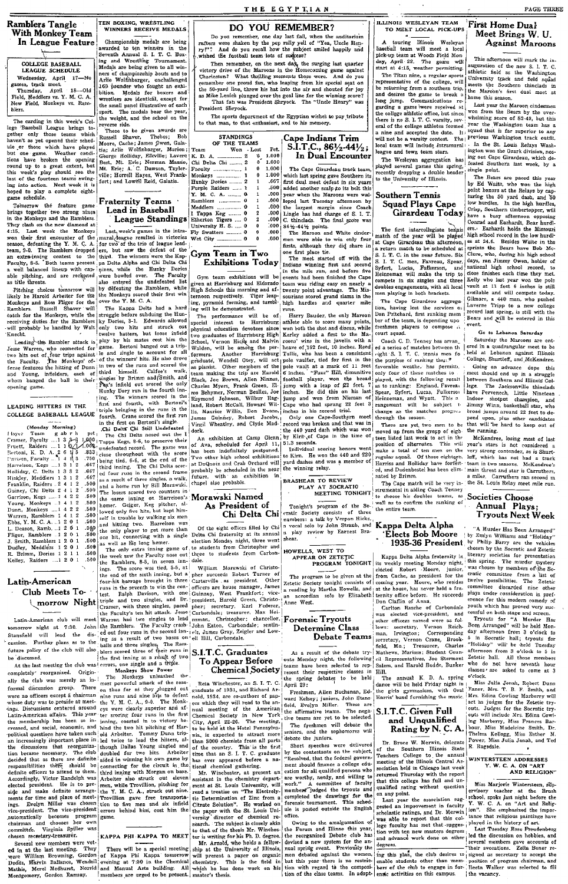**Ramblers Tangle** With Monkey Team In League Feature

COLLEGE BASEBALL LEAGUE SCHEDULE Express of the Principle Control of Principles.<br>
Thursday, April 18—Old<br>
Field, Meddlers vs. Y. M. C. A.<br>
New Field, Meddlers vs. Y. M. C. A.<br>
New Field, Monkeys vs. Ram-

The carding in this week's College Theorem (The carding in this week's College Theorem and which have been assumed by the community of the control of the control of the control of the control of the control of the control inst or the rourteen teams swing-<br>ing into action. Next week it is<br>hoped to play a complete eight-<br>game schedule.

Tomorrow the feature game Tomorrow the reature game<br>brings together two strong nines<br>in the Monkeys and the Ramblers.<br>They clash on the new diamond at<br>4:15. Last week the Monkeys  $4:15$ won their first encounter of the won their next encounter of the season, defeating the Y. M. C. A.<br>team, 9-0. The Ramblers dropped<br>an extra-inning contest to the<br>Faculty, 8-5. Tooth teams present a well balanced lineup with cap-.<br>shle pitching, and are reckgned as title threats.

Pitching choices tomorrow will Friening Emold Arbeiter for the<br>likely be Harold Arbeiter for the<br>Monkeys and Ross Fligor for the<br>Ramblers. Russell Shaver will Ramblers. Russell Shaver will<br>catch for the Monkeys, while the<br>receiving duties for the Ramblers<br>will probably be handled by Walt<br>r---t-Knecht.

Leading the Rambler attack is<br>Jesse Warren, who connected for<br>two hits out of four trips against the Faculty.<br>The Monkeys' of-<br>fense fortunes And the Monkeys' ofthe raculty. Ine numbers of<br>fense features the hitting of Dunn Young, infielders, each of<br>m banged the ball in their opening game.

#### LEADING HITTERS IN THE COLLEGE RASEBALL LEAGUE

| (Monday Morning)               |  |            |
|--------------------------------|--|------------|
| Hayer Team gabrh pet           |  |            |
| Cramer, Faculty  1 3 3-8 1.000 |  |            |
| Pruett, Raiders  1 1 0 1 1.000 |  |            |
| Bertoni, K. D. A. 2 6 1 5      |  | .833       |
| Pavison, Faculty  1 4 1 3      |  | .750       |
| Harrelson, Kegs  1 3 1 2       |  | .667       |
| Holliday, C. Delts 1 3 3 2     |  | .667       |
| Hinkley, Meddlers 1 3 1 2      |  | .667       |
| Franklin, Raiders . 2 4 1 2    |  | .506       |
| Guiney, Chi Delts 2 4 1 2      |  | .500       |
| Garrison, Kegs  1 4 2 2        |  | .500       |
| Young, Monkeys  1 4 1 2        |  | .500       |
| Dunn, Monkeys  1 4 2 2         |  | .500       |
| Warren, Ramblers 1 4 1 2       |  | .500       |
| Ebbs, Y. M. C. A.  1 2 0 1     |  | .500       |
| L. Deason, Ramb.  1 2 0 1      |  | .500       |
| Fligor, Ramblers .1 2 0 1      |  | .500       |
| J. Smith, Ramblers 1 2 0 1     |  | .500       |
| Dudley, Meddlers 1 2 0 1       |  | .500       |
| R. Brimm, Dories 1 2 1 1       |  | .50(       |
| .                              |  | <b>CAC</b> |

ally the club was merely an informal discussion group. There were no officer except is chairman<br>whose duty was to preside at meta-<br>rings. Discussions centered around<br>Latin-American affairs. This year-<br>the membership has been so in-<br>reased, and social, ion became necessary. The club decided that as there are definite the<br>responsibilities there are definite exponsibilities there also<br>identified by dependent of the state of the Accordingly, Victor Randolph was<br>elected pre

TEN BOXING, WRESTLING<br>WINNERS RECEIVE MEDALS

Championship medals are being awarded to ten winners in the<br>Seventh Annual S. I. T. C. Box-Seventh Annual S. I. T. C. Box-<br>Ing and Westling Tournament.<br>Medals are being given to all windows and to be<br>a selenge given to all windows and to be a selenge given to all windows<br>and the Calumbus and to All and All and

Russell Shaver, Thebes; Bob<br>Cache; James Owen, Gala-**Moore** Moore, Cache; James Qwent, Gala-<br>Haj, Arlie Wolfinbarger, Marion;<br>Géorge Holliday, Elkville; Lavere<br>Best, Mt. Erie; Norman Massie,<br>Mt. Erie; A. C. Dawson, Taylor-<br>ville; Horrell Hayes, West Frank-<br>fort; and Lowell Reid, Ga

#### **Fraternity Teams** Lead in Baseball **League Standings**

**League Standings** Entropy Theorem Charles International Line of the formula despite remained in victories we can consider the term of the series of the term of the series of the detect of the line where bowed over. The F

The Kappa Delts had a hard The Kappa Diets had a nard<br>ky Dories, 3-1. Edwards allowed<br>hy Dories, 3-1. Edwards allowed<br>culture batters, but loose infeld<br>in the setters, but loose infeld<br>in the same. Bertoni banged out a trip- $\mathbf{f}_{\alpha\gamma}$  i game. Bertoni banged out a trip-<br>instant is easily be account for all into the vinners' this. He also drove<br>of the vinners' this may do the state of the state of third himself. Calfee's walk,<br> $\mathbf{f}_{\alpha\gamma}$ Hunty Dory Tun in the location-<br>
[ing. The winners second in the<br>
first and fourth, with Bertoni's<br>
triple bringing in the runs in the<br>
fourth. Crane scored the first run<br>
in the first on Bertoni's single.<br>
Chi Dalte wased

The Chi Delts nosed out the I

As Datit Chi Bell Understand and the score that is a method of the set of the chi and the set of the set of the set of the set of the set of the set of the set of the set of the set of the set of the set of the set of the 00<br>500<br>500<br>500 500

the week saw the Faculty nose out

For Brimm, Doriss 12 11 5.00 (The only extra minic grams of increase the content of the Realist Schien and the Realist Schien and the same increase the content of the same increase the content of the same increase the con

The Monkey unleasted the same as the same and more property of the same and mineral and the same and mineral single out in the Monkey single out of the SV state of the SV state of the same of the same of the same of the s sigled in winning his own game by<br>sigled in the connecting for the circuit in the chird image with Morgan on base.<br>Arbeiter also struck out eleven means while Trevillion, pitching for<br>the W. M. C. A., struck out inite.<br>Th

## DO YOU REMEMBER?

Do you remember, one day hast fall, when the auditorium<br>rafters were shaken by the pep ruly yell of "Yea, Uncle Ren-<br>ry!"? And do you recall how the subject smiled happily and<br>wished the football team lots of subjects?

where the conventions of supplements of the Marcon Theorem Theorem and the member, on the BM and the Homecoming game against Charleston? What thrilling moments those were. And do you commember one proud fan, who leaping fr President Shryock.

The sports department of the Egyptian wishes to pay tribuse to that man, to that enthusiast, and to his memory.

**STANDINGS** OF THE TEAMS  $\frac{12}{100}$  . Lost Pet. —<br>ה ് ച  $1.000$  $\frac{1}{2}$  $1.000$ <br> $1.000$ <br> $1.000$ <br> $1.000$ Chi Delta Chi Faculty ...................<br>Monkeys .................. Hunky Dories .667 namaj postoj.<br>Porolo Reiders  $.500$ V. M. C. A. ........ 1<br>
Y. M. C. A. ......... 0<br>
Hamblers ............... 0<br>
Meddlers ................ 0<br>
1 Tappa Keg ........ 0<br>
Etherton Tigers .... 0<br>
University H. S. .... 0  $.000$ 000.<br>000.<br>000.  $.000.$  $.000$ Fly Swatters .......  $000$ ິດຍາ

## Gym Team in Two **Exhibitions Today**

ing will be demonstrated.<br>The performance will be of<br>special interest to Harrisburg spectral interests of Harrisbury High Kerley ded a first to the Ma- court spatial density of the spectral of the set of the Ma- compose it two graduates of Harrisbury High Kerley ded a first to the Ma- court squal of Scho physical education devotees since

# As President of

Of the eight offices filled by Chi<br>Delta Chi fraternity at its annual<br>election Monday night, three went to students from Christopher and to students from Carbon-

to att<br>three<br>dale.

Criterial Jouciety<br>
Reta Winchester, an S. I. T. C.<br>
Retail, and Richard Ar-<br>
redatate of 1931, and Richard Ar-<br>
redatate of 1931, and Richard Ar-<br>
redatate by will read to the annual metric<br>
redatate the American South Po

read a treatise on "The Eitetroly-<br>contract for Cherminator" of Zinc from a Citrate Solution". He worked on<br>the paper with the St. Louis University director of chemical re-<br>search. The subject is closely akin<br>to that of t

**ILLINOIS WESLEYAN TEAM** TO MEET LOCAL PICK-UPS

 $\begin{tabular}{l|c|c|c|c|c} \hline \multicolumn{3}{c}{A}\quad\text{touring} & \multicolumn{3}{c}{\text{Minois}} & \multicolumn{3}{c}{\text{Wesleyan}}\\ \hline \text{baseball} & \text{team} & \text{will meet} & \text{a local} \\ \hline \text{pick-up} & \text{team} & \text{Woods Field} & \text{Moni} \\ \text{day, April} & 22. & \text{The game} & \text{will} \\ \text{start at 4:15, weather permitting.} & \end{tabular}$ 

The Titan nine, a regular sports<br>representative of the college, will representative of the college, will<br>be returning from a southern trip, the returning from a southern trip,<br>and desires the game to break a<br>garding a game were received at the college adhtetic office, but since<br>there is no  $\frac{1}{2}$ 

eague and town team stars. The Wesleyan aggregation has played several games this spring,<br>recently dropping a double header<br>to the University of Illinois.

### **Southern Tennis Squad Plays Cape** Girardeau Today

Lingle has had charge of S. 1. 1.<br>  $\frac{1}{2}$ C. thincleds. The first sector and  $\frac{1}{2}$ C. thincleds. The first intercollegiate tempts as<br>  $86\frac{1}{2}$ -44 $\frac{1}{2}$  points. The first intercollegiate tempts<br>
men were able to

a return match to be scheduled at<br>S. I. T. C. in the near future. Six<br>S. I. T. C. men, Favreau, Spear,<br>Syfert, Lucias, Fulkerson, and<br>Heinzeman will make the trip to<br>compete in six singles and three<br>doubles engagements, wi men playing in both brackets.

The Cape Girardeau aggregation, having lost the services of Don Pritchard, first ranking mem ber of the team, is denending upo freshmen players to compose<br>court squad.

The Cap match will be very in-<br>The Cap match will be very in-<br>strumental in aiding Coach Tenney<br>to choose his doubles teams, as<br>well as to confirm the ranking of the entire team.

#### Kappa Delta Alpha Élects Bob Moore 1935-36 President

HOWELLS, WEST TO APPEAR ON THE AGE AND THE AMELIATION APPEAR ON APPEAR ON THE PROGRAM TONIGHT in weekly meeting Monday night;<br>
The program to be given at the inform Cache, as president for the<br>
2 rectil Society toright con As a result of the debate try- Mathews, Marissa; Student Council as Assumed The debate try- Mathews, Judent Council and Mathematics and Harold Budde, Bunker

Dr. Bruce W. Merwin, delegate<br>of the Southern Illinois State<br>Teachers College to the annual<br>meeting of the Illinois Central As-<br>sociation held in Chicago last week returned Thursday with the report<br>that this college has full and un-<br>qualified rating without question on any point.<br>Last year the association

Last year the association sug-<br>
lectool, spoke jast night before the gested an improvement in faculty<br>  $V: W. C. A.$  on "Art and Relig-scholarist" ratings, and Dr. Mervin [now]. She emphasized the imposition was able to repo

### First Home Dual Meet Brings W. U. Against Maroons

PAGE THREE

This afternoon will mark the This afternoon will mark the in-<br>auguration of the new S. I. T. C.<br>shibletic field as the Washington<br>University track and field squad<br>meets the Southern trinclade in<br>the Marcon's first dual meet at<br>home this sesson.

Last year the Maroon cindermen Last year the maroon cinderment<br>won from the Bears by the over-<br>whelming score of 82-49, but this<br>year the Washington team has a  $\frac{1}{2}v$ . Whelming score of 82-49, but this<br>led year the Washington team has a<br> $\frac{1}{1}v$ , squad that is far superior to any<br>he *previous* Washington track outfit. Free to the St. Louis Relays Wash-<br>ington won the Ozark division, nos-<br>ing out Cape Girardeau, which de-<br>feated Southern last week, by a single noint.

single point.<br>The Bestrs are paced this year<br>by Ed Waite, who won the high<br>point homors at the Relays by cap-<br>turing the 50 yard dash, and 50<br>low hurdles. In the high hardles,<br>crisp, Southern timbertopner, will<br>have a busy ers. Earhardt holds the Missouri ers. Exharact holds the Missouri-<br>high school record in the low hurdl-<br>ge at 24.6. Besides Waite in the<br>sprints the Bears have Bob Mc-<br>Clure, who, during his high school<br>days, ran Jimmy Owen, holder of<br>national high school close finishes each time they ີ້ close finishes each time they met.<br>Kelly who last year won the pole vault at 11 feet 6 inches is still<br>available and will comprete today.<br>Gilmore, a 440 man, who pushed<br>Climore, a 440 man, who pushed<br>Laverne Tripp to a ne event.

#### ...<br>Go to Lebanon Saturday

Saturday the Maroons are entered in a quadrangular meet to be<br>held at Lebanon against Illinois netu at Lebanon against Human<br>College, Shurtieff, and McKendree

Conege, Shurtten, and McKentere.<br>
Going on advance dope this<br>
meet should end up in a struggle<br>
between Southern and Hilrois Col-<br>
between Southern and Hilrois Col-<br>
lege. The Jacksonville thincleads<br>
have Pervenceh, Littl animy with, basketball star, who<br>broad jumps around 22 feet to de-<br>pend upon, plus other candidates<br>that will be hard to keep out of the running.

the running.<br>
McKendree, losing most of last<br>
year's stars is not considered a<br>
very strong contender, as is Shurt-<br>
leff, which has not had a track<br>
team in two seasons. McKendree's<br>
main threat and star is Carruthers,<br>
i a miler. Carruthers ran sec the St. Louis Relay meet mile

## **Societies Choose** Annual Plays;<br>Tryouts Next Week

A Murder Has Been Arranged? A Murder Has Been Arranged"<br>
by Emlip Barry are the vehicles<br>
by Philip Barry are the vehicles<br>
chosen by the Socratic and Zetetic<br>
nuiterary societies for presentation<br>
nuiterary societies for presentation iterary societies for presentation that spring. The marker appresery<br>was chosen by members of the Social vertex cratic conmittee from a list of<br>twist positively possibilities. The Zettein committee discarded nine other<br>pl youth which has proved very

yout when has proved very successful on both stage and screen.<br>Tryouts for "A Murder Has<br>Been Arranged" will be held Mon-<br>Been Arranged" will be held Mon-<br>day afternoon from 3 o'clock to any atternoon trom 3 o'clock to<br>5 in Socratic hall; tryouts for<br>"Holiday" will be held Tuesday<br>afternoon from 3 o'clock to 5 in<br>Zetetic hall. All those members<br>who do not have seventh hour<br>c'docko'clock.

o clock,<br>
Miss Julia Jonah, Robert Dunn<br>
Faner, Mrs. T. B. F. Smith, and<br>
Mirs. Edina Cowling Marberry will<br>
act as judges for the Zetetic try-<br>
outs. Judges for the Socratic try-<br>
outs. Judges for the Socratic tryouts. Judges for the Socrathe Cry-<br>outs will include Mrs. Edina Cowling Marberry, Miss Frances Bar-<br>bour, Miss Madeleine Smith, Dr. Thelrna Kellogg, Miss Esther M.<br>Power, Miss Julia Jonah, and Ted<br>R. Ragsdale.

## WINTERSTEEN ADDRESSES ERSTEEN<br>Y. W. C. A. ON "ART<br>AND RELIGION"

Miss Marjorie Wintersteen, supervisory teacher at the Brush<br>school, spoke jast night before the

The freshmen will debate the<br>seniors, and the sophomores will<br>debate the juniors.

decoare in unions.<br>Short speches were delivered<br>by the contestants on the subject,<br>"Resolved, that the federal govern-<br>ment should finance a college edu-<br>cation for all qualified persons who<br>interare worthy, needy, and willing to<br>work." A committee of faculty are worthy, neary, number of faculty<br>work." A committee of faculty<br>members judged the tryouts and<br>completed the drawings for the<br>forensic tornament. This scheel-<br>ule is posted outside the English office.

once.<br>Owing to the amalgamation of<br>the Forum and Illinae this year,<br>the reorganized Debate club has Count of the companies are countered to the County of the County of the companies are the form of the county of the state of the county of the state of the state of the counter of the counter of the counter of the counter

Cape Indians Trim S.I.T.C.,  $86\frac{1}{2}44\frac{1}{2}$ ; In Dual Encounter

The Cape Girardeau track team, The Cape Girardean track team,<br>which last spring gave Southern its<br>first dual meet defeat in six years<br>added another scalp of its beit this<br>year when the Marcons were wal-<br>loped last Tuesday afternoom by<br>the largest margin

one first place tie.<br>The meet started off with the **Cymr Pearl In Today** Indians winning first and second<br>Gymr team exhibitions Today Internal second<br>Gymr team exhibitions will be events had been finished the Cape<br> $g$ iven at Earribusy and Eldorado (seam was riding easy on

The Harry Bauder, the only Marcon<br>athlete able to score many points,<br>won both the shot and discus, while<br>Kerly added a first to the Ma-<br>Kerly added a first to the Ma-<br>roons' wins in the javelin with a

# BRASHEAR TO REVIEW<br>PLAY AT SOCRATIC<br>MEETING TONIGHT

Tonight's program of the Source ratio Sovering and the numbers: a talk by Verpon Hicks, a proced solo by John Straub, and play review by Earnest Brasiles. Chi Delta Chi

HOWELLS, WEST TO<br>APPEAR ON ZETETIC<br>PROGRAM TONIGHT